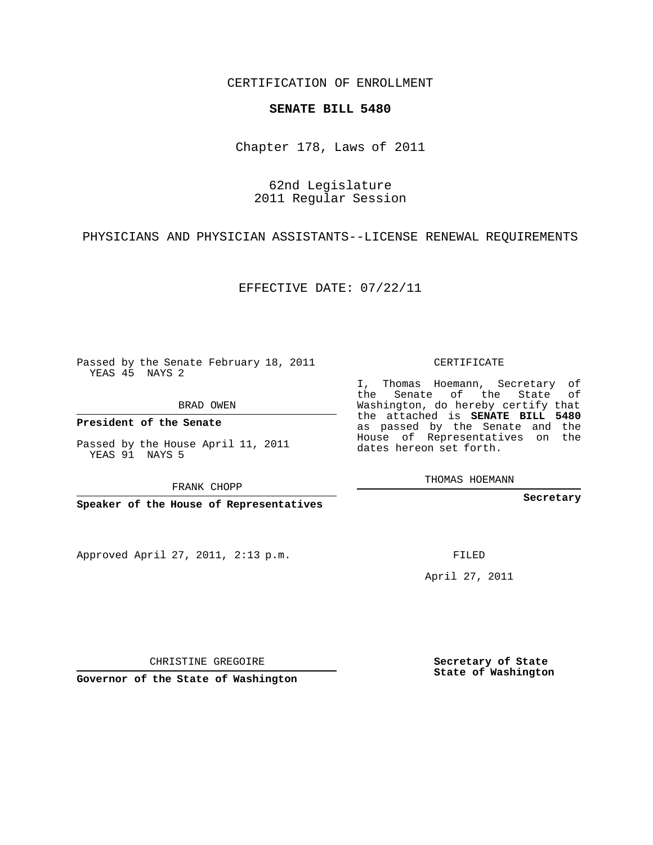CERTIFICATION OF ENROLLMENT

## **SENATE BILL 5480**

Chapter 178, Laws of 2011

62nd Legislature 2011 Regular Session

PHYSICIANS AND PHYSICIAN ASSISTANTS--LICENSE RENEWAL REQUIREMENTS

EFFECTIVE DATE: 07/22/11

Passed by the Senate February 18, 2011 YEAS 45 NAYS 2

BRAD OWEN

**President of the Senate**

Passed by the House April 11, 2011 YEAS 91 NAYS 5

FRANK CHOPP

**Speaker of the House of Representatives**

Approved April 27, 2011, 2:13 p.m.

CERTIFICATE

I, Thomas Hoemann, Secretary of the Senate of the State of Washington, do hereby certify that the attached is **SENATE BILL 5480** as passed by the Senate and the House of Representatives on the dates hereon set forth.

THOMAS HOEMANN

**Secretary**

FILED

April 27, 2011

**Secretary of State State of Washington**

CHRISTINE GREGOIRE

**Governor of the State of Washington**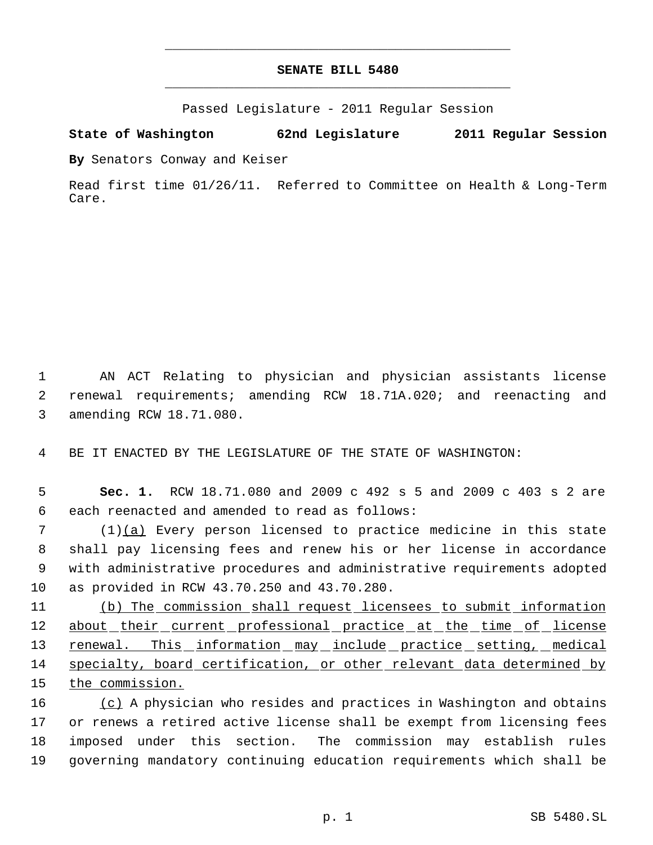## **SENATE BILL 5480** \_\_\_\_\_\_\_\_\_\_\_\_\_\_\_\_\_\_\_\_\_\_\_\_\_\_\_\_\_\_\_\_\_\_\_\_\_\_\_\_\_\_\_\_\_

\_\_\_\_\_\_\_\_\_\_\_\_\_\_\_\_\_\_\_\_\_\_\_\_\_\_\_\_\_\_\_\_\_\_\_\_\_\_\_\_\_\_\_\_\_

Passed Legislature - 2011 Regular Session

**State of Washington 62nd Legislature 2011 Regular Session**

**By** Senators Conway and Keiser

Read first time 01/26/11. Referred to Committee on Health & Long-Term Care.

 1 AN ACT Relating to physician and physician assistants license 2 renewal requirements; amending RCW 18.71A.020; and reenacting and 3 amending RCW 18.71.080.

4 BE IT ENACTED BY THE LEGISLATURE OF THE STATE OF WASHINGTON:

 5 **Sec. 1.** RCW 18.71.080 and 2009 c 492 s 5 and 2009 c 403 s 2 are 6 each reenacted and amended to read as follows:

 (1)(a) Every person licensed to practice medicine in this state shall pay licensing fees and renew his or her license in accordance with administrative procedures and administrative requirements adopted as provided in RCW 43.70.250 and 43.70.280.

11 (b) The commission shall request licensees to submit information 12 about their current professional practice at the time of license 13 renewal. This information may include practice setting, medical 14 specialty, board certification, or other relevant data determined by 15 the commission.

16 (c) A physician who resides and practices in Washington and obtains or renews a retired active license shall be exempt from licensing fees imposed under this section. The commission may establish rules governing mandatory continuing education requirements which shall be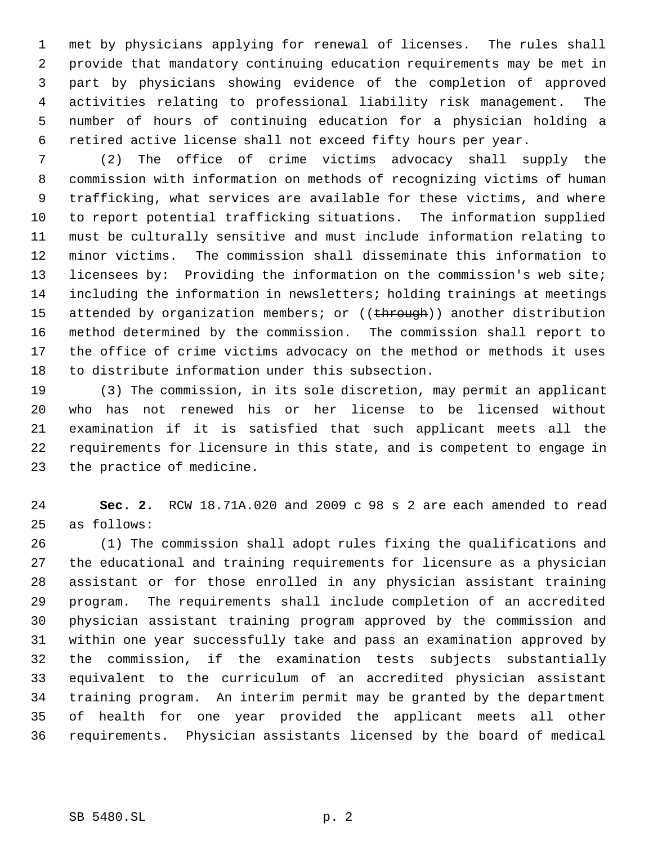met by physicians applying for renewal of licenses. The rules shall provide that mandatory continuing education requirements may be met in part by physicians showing evidence of the completion of approved activities relating to professional liability risk management. The number of hours of continuing education for a physician holding a retired active license shall not exceed fifty hours per year.

 (2) The office of crime victims advocacy shall supply the commission with information on methods of recognizing victims of human trafficking, what services are available for these victims, and where to report potential trafficking situations. The information supplied must be culturally sensitive and must include information relating to minor victims. The commission shall disseminate this information to licensees by: Providing the information on the commission's web site; including the information in newsletters; holding trainings at meetings 15 attended by organization members; or ((through)) another distribution method determined by the commission. The commission shall report to the office of crime victims advocacy on the method or methods it uses to distribute information under this subsection.

 (3) The commission, in its sole discretion, may permit an applicant who has not renewed his or her license to be licensed without examination if it is satisfied that such applicant meets all the requirements for licensure in this state, and is competent to engage in the practice of medicine.

 **Sec. 2.** RCW 18.71A.020 and 2009 c 98 s 2 are each amended to read as follows:

 (1) The commission shall adopt rules fixing the qualifications and the educational and training requirements for licensure as a physician assistant or for those enrolled in any physician assistant training program. The requirements shall include completion of an accredited physician assistant training program approved by the commission and within one year successfully take and pass an examination approved by the commission, if the examination tests subjects substantially equivalent to the curriculum of an accredited physician assistant training program. An interim permit may be granted by the department of health for one year provided the applicant meets all other requirements. Physician assistants licensed by the board of medical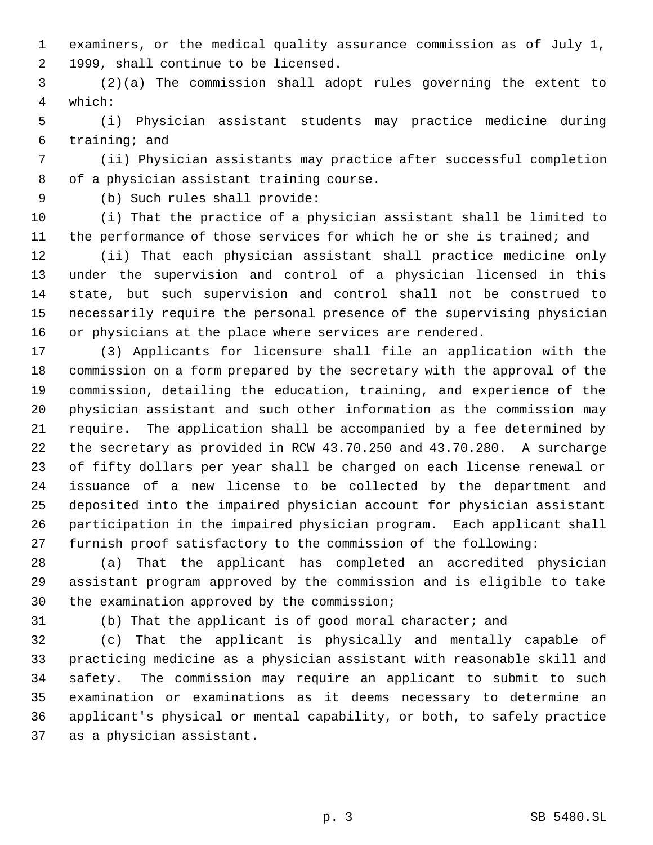examiners, or the medical quality assurance commission as of July 1, 1999, shall continue to be licensed.

 (2)(a) The commission shall adopt rules governing the extent to which:

 (i) Physician assistant students may practice medicine during training; and

 (ii) Physician assistants may practice after successful completion of a physician assistant training course.

(b) Such rules shall provide:

 (i) That the practice of a physician assistant shall be limited to the performance of those services for which he or she is trained; and

 (ii) That each physician assistant shall practice medicine only under the supervision and control of a physician licensed in this state, but such supervision and control shall not be construed to necessarily require the personal presence of the supervising physician or physicians at the place where services are rendered.

 (3) Applicants for licensure shall file an application with the commission on a form prepared by the secretary with the approval of the commission, detailing the education, training, and experience of the physician assistant and such other information as the commission may require. The application shall be accompanied by a fee determined by the secretary as provided in RCW 43.70.250 and 43.70.280. A surcharge of fifty dollars per year shall be charged on each license renewal or issuance of a new license to be collected by the department and deposited into the impaired physician account for physician assistant participation in the impaired physician program. Each applicant shall furnish proof satisfactory to the commission of the following:

 (a) That the applicant has completed an accredited physician assistant program approved by the commission and is eligible to take the examination approved by the commission;

(b) That the applicant is of good moral character; and

 (c) That the applicant is physically and mentally capable of practicing medicine as a physician assistant with reasonable skill and safety. The commission may require an applicant to submit to such examination or examinations as it deems necessary to determine an applicant's physical or mental capability, or both, to safely practice as a physician assistant.